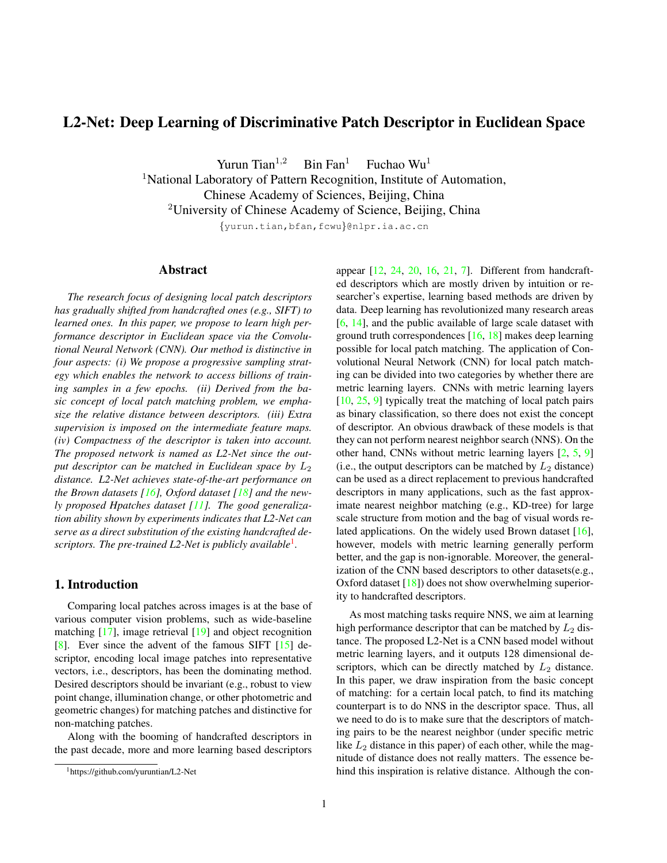# L2-Net: Deep Learning of Discriminative Patch Descriptor in Euclidean Space

Yurun Tian<sup>1,2</sup> Bin Fan<sup>1</sup> Fuchao Wu<sup>1</sup>

<sup>1</sup>National Laboratory of Pattern Recognition, Institute of Automation,

Chinese Academy of Sciences, Beijing, China

<sup>2</sup>University of Chinese Academy of Science, Beijing, China

*{*yurun.tian,bfan,fcwu*}*@nlpr.ia.ac.cn

### Abstract

*The research focus of designing local patch descriptors has gradually shifted from handcrafted ones (e.g., SIFT) to learned ones. In this paper, we propose to learn high performance descriptor in Euclidean space via the Convolutional Neural Network (CNN). Our method is distinctive in four aspects: (i) We propose a progressive sampling strategy which enables the network to access billions of training samples in a few epochs. (ii) Derived from the basic concept of local patch matching problem, we emphasize the relative distance between descriptors. (iii) Extra supervision is imposed on the intermediate feature maps. (iv) Compactness of the descriptor is taken into account. The proposed network is named as L2-Net since the output descriptor can be matched in Euclidean space by*  $L_2$ *distance. L2-Net achieves state-of-the-art performance on the Brown datasets [16], Oxford dataset [18] and the newly proposed Hpatches dataset [11]. The good generalization ability shown by experiments indicates that L2-Net can serve as a direct substitution of the existing handcrafted descriptors. The pre-trained L2-Net is publicly available*<sup>1</sup> *.*

## 1. Introduction

Comparing local patches across images is at the base of various computer vision problems, such as wide-baseline matching [17], image retrieval [19] and object recognition [8]. Ever since the advent of the famous SIFT [15] descriptor, encoding local image patches into representative vectors, i.e., descriptors, has been the dominating method. Desired descriptors should be invariant (e.g., robust to view point change, illumination change, or other photometric and geometric changes) for matching patches and distinctive for non-matching patches.

Along with the booming of handcrafted descriptors in the past decade, more and more learning based descriptors

appear [12, 24, 20, 16, 21, 7]. Different from handcrafted descriptors which are mostly driven by intuition or researcher's expertise, learning based methods are driven by data. Deep learning has revolutionized many research areas [6, 14], and the public available of large scale dataset with ground truth correspondences [16, 18] makes deep learning possible for local patch matching. The application of Convolutional Neural Network (CNN) for local patch matching can be divided into two categories by whether there are metric learning layers. CNNs with metric learning layers [10, 25, 9] typically treat the matching of local patch pairs as binary classification, so there does not exist the concept of descriptor. An obvious drawback of these models is that they can not perform nearest neighbor search (NNS). On the other hand, CNNs without metric learning layers [2, 5, 9] (i.e., the output descriptors can be matched by  $L_2$  distance) can be used as a direct replacement to previous handcrafted descriptors in many applications, such as the fast approximate nearest neighbor matching (e.g., KD-tree) for large scale structure from motion and the bag of visual words related applications. On the widely used Brown dataset [16], however, models with metric learning generally perform better, and the gap is non-ignorable. Moreover, the generalization of the CNN based descriptors to other datasets(e.g., Oxford dataset [18]) does not show overwhelming superiority to handcrafted descriptors.

As most matching tasks require NNS, we aim at learning high performance descriptor that can be matched by  $L_2$  distance. The proposed L2-Net is a CNN based model without metric learning layers, and it outputs 128 dimensional descriptors, which can be directly matched by  $L_2$  distance. In this paper, we draw inspiration from the basic concept of matching: for a certain local patch, to find its matching counterpart is to do NNS in the descriptor space. Thus, all we need to do is to make sure that the descriptors of matching pairs to be the nearest neighbor (under specific metric like  $L_2$  distance in this paper) of each other, while the magnitude of distance does not really matters. The essence behind this inspiration is relative distance. Although the con-

<sup>1</sup>https://github.com/yuruntian/L2-Net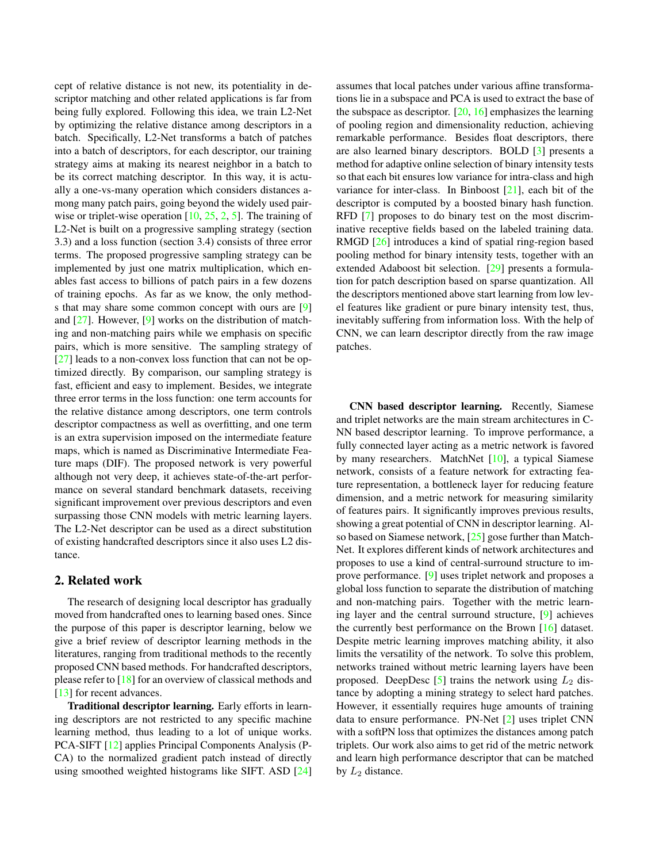cept of relative distance is not new, its potentiality in descriptor matching and other related applications is far from being fully explored. Following this idea, we train L2-Net by optimizing the relative distance among descriptors in a batch. Specifically, L2-Net transforms a batch of patches into a batch of descriptors, for each descriptor, our training strategy aims at making its nearest neighbor in a batch to be its correct matching descriptor. In this way, it is actually a one-vs-many operation which considers distances among many patch pairs, going beyond the widely used pairwise or triplet-wise operation  $[10, 25, 2, 5]$ . The training of L2-Net is built on a progressive sampling strategy (section 3.3) and a loss function (section 3.4) consists of three error terms. The proposed progressive sampling strategy can be implemented by just one matrix multiplication, which enables fast access to billions of patch pairs in a few dozens of training epochs. As far as we know, the only methods that may share some common concept with ours are [9] and  $[27]$ . However,  $[9]$  works on the distribution of matching and non-matching pairs while we emphasis on specific pairs, which is more sensitive. The sampling strategy of [27] leads to a non-convex loss function that can not be optimized directly. By comparison, our sampling strategy is fast, efficient and easy to implement. Besides, we integrate three error terms in the loss function: one term accounts for the relative distance among descriptors, one term controls descriptor compactness as well as overfitting, and one term is an extra supervision imposed on the intermediate feature maps, which is named as Discriminative Intermediate Feature maps (DIF). The proposed network is very powerful although not very deep, it achieves state-of-the-art performance on several standard benchmark datasets, receiving significant improvement over previous descriptors and even surpassing those CNN models with metric learning layers. The L2-Net descriptor can be used as a direct substitution of existing handcrafted descriptors since it also uses L2 distance.

### 2. Related work

The research of designing local descriptor has gradually moved from handcrafted ones to learning based ones. Since the purpose of this paper is descriptor learning, below we give a brief review of descriptor learning methods in the literatures, ranging from traditional methods to the recently proposed CNN based methods. For handcrafted descriptors, please refer to [18] for an overview of classical methods and [13] for recent advances.

Traditional descriptor learning. Early efforts in learning descriptors are not restricted to any specific machine learning method, thus leading to a lot of unique works. PCA-SIFT [12] applies Principal Components Analysis (P-CA) to the normalized gradient patch instead of directly using smoothed weighted histograms like SIFT. ASD [24] assumes that local patches under various affine transformations lie in a subspace and PCA is used to extract the base of the subspace as descriptor.  $[20, 16]$  emphasizes the learning of pooling region and dimensionality reduction, achieving remarkable performance. Besides float descriptors, there are also learned binary descriptors. BOLD [3] presents a method for adaptive online selection of binary intensity tests so that each bit ensures low variance for intra-class and high variance for inter-class. In Binboost [21], each bit of the descriptor is computed by a boosted binary hash function. RFD [7] proposes to do binary test on the most discriminative receptive fields based on the labeled training data. RMGD [26] introduces a kind of spatial ring-region based pooling method for binary intensity tests, together with an extended Adaboost bit selection. [29] presents a formulation for patch description based on sparse quantization. All the descriptors mentioned above start learning from low level features like gradient or pure binary intensity test, thus, inevitably suffering from information loss. With the help of CNN, we can learn descriptor directly from the raw image patches.

CNN based descriptor learning. Recently, Siamese and triplet networks are the main stream architectures in C-NN based descriptor learning. To improve performance, a fully connected layer acting as a metric network is favored by many researchers. MatchNet [10], a typical Siamese network, consists of a feature network for extracting feature representation, a bottleneck layer for reducing feature dimension, and a metric network for measuring similarity of features pairs. It significantly improves previous results, showing a great potential of CNN in descriptor learning. Also based on Siamese network, [25] gose further than Match-Net. It explores different kinds of network architectures and proposes to use a kind of central-surround structure to improve performance. [9] uses triplet network and proposes a global loss function to separate the distribution of matching and non-matching pairs. Together with the metric learning layer and the central surround structure, [9] achieves the currently best performance on the Brown [16] dataset. Despite metric learning improves matching ability, it also limits the versatility of the network. To solve this problem, networks trained without metric learning layers have been proposed. DeepDesc  $\lceil 5 \rceil$  trains the network using  $L_2$  distance by adopting a mining strategy to select hard patches. However, it essentially requires huge amounts of training data to ensure performance. PN-Net [2] uses triplet CNN with a softPN loss that optimizes the distances among patch triplets. Our work also aims to get rid of the metric network and learn high performance descriptor that can be matched by  $L_2$  distance.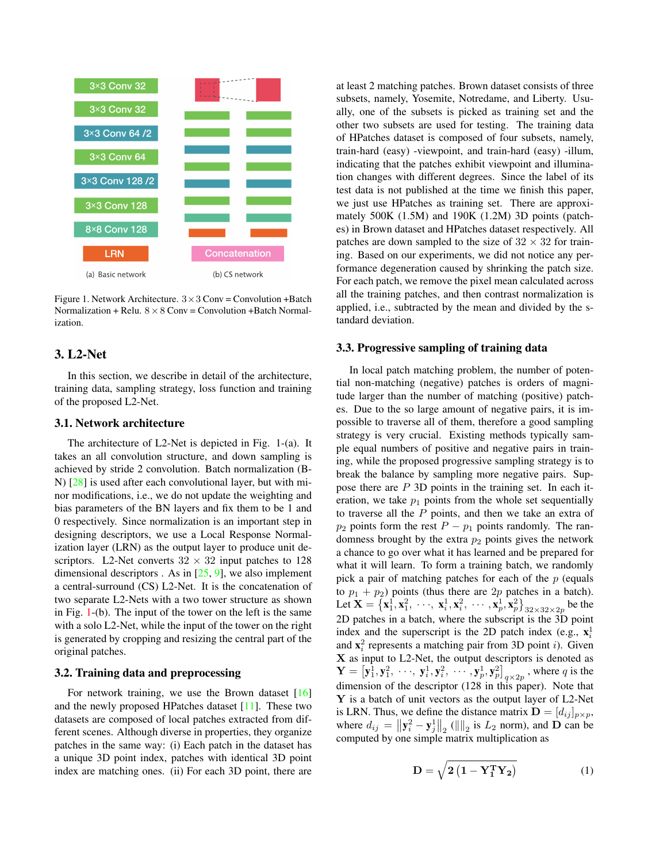

Figure 1. Network Architecture. 3*×*3 Conv = Convolution +Batch Normalization + Relu.  $8 \times 8$  Conv = Convolution + Batch Normalization.

### 3. L2-Net

In this section, we describe in detail of the architecture, training data, sampling strategy, loss function and training of the proposed L2-Net.

#### 3.1. Network architecture

The architecture of L2-Net is depicted in Fig. 1-(a). It takes an all convolution structure, and down sampling is achieved by stride 2 convolution. Batch normalization (B-N) [28] is used after each convolutional layer, but with minor modifications, i.e., we do not update the weighting and bias parameters of the BN layers and fix them to be 1 and 0 respectively. Since normalization is an important step in designing descriptors, we use a Local Response Normalization layer (LRN) as the output layer to produce unit descriptors. L2-Net converts  $32 \times 32$  input patches to 128 dimensional descriptors . As in  $[25, 9]$ , we also implement a central-surround (CS) L2-Net. It is the concatenation of two separate L2-Nets with a two tower structure as shown in Fig. 1-(b). The input of the tower on the left is the same with a solo L2-Net, while the input of the tower on the right is generated by cropping and resizing the central part of the original patches.

#### 3.2. Training data and preprocessing

For network training, we use the Brown dataset  $[16]$ and the newly proposed HPatches dataset [11]. These two datasets are composed of local patches extracted from different scenes. Although diverse in properties, they organize patches in the same way: (i) Each patch in the dataset has a unique 3D point index, patches with identical 3D point index are matching ones. (ii) For each 3D point, there are at least 2 matching patches. Brown dataset consists of three subsets, namely, Yosemite, Notredame, and Liberty. Usually, one of the subsets is picked as training set and the other two subsets are used for testing. The training data of HPatches dataset is composed of four subsets, namely, train-hard (easy) -viewpoint, and train-hard (easy) -illum, indicating that the patches exhibit viewpoint and illumination changes with different degrees. Since the label of its test data is not published at the time we finish this paper, we just use HPatches as training set. There are approximately 500K (1.5M) and 190K (1.2M) 3D points (patches) in Brown dataset and HPatches dataset respectively. All patches are down sampled to the size of  $32 \times 32$  for training. Based on our experiments, we did not notice any performance degeneration caused by shrinking the patch size. For each patch, we remove the pixel mean calculated across all the training patches, and then contrast normalization is applied, i.e., subtracted by the mean and divided by the standard deviation.

#### 3.3. Progressive sampling of training data

In local patch matching problem, the number of potential non-matching (negative) patches is orders of magnitude larger than the number of matching (positive) patches. Due to the so large amount of negative pairs, it is impossible to traverse all of them, therefore a good sampling strategy is very crucial. Existing methods typically sample equal numbers of positive and negative pairs in training, while the proposed progressive sampling strategy is to break the balance by sampling more negative pairs. Suppose there are *P* 3D points in the training set. In each iteration, we take  $p_1$  points from the whole set sequentially to traverse all the *P* points, and then we take an extra of *p*<sub>2</sub> points form the rest  $P - p_1$  points randomly. The randomness brought by the extra  $p_2$  points gives the network a chance to go over what it has learned and be prepared for what it will learn. To form a training batch, we randomly pick a pair of matching patches for each of the *p* (equals to  $p_1 + p_2$ ) points (thus there are  $2p$  patches in a batch). Let  $\mathbf{X} = {\mathbf{x}_1^1, \mathbf{x}_1^2, \dots, \mathbf{x}_i^1, \mathbf{x}_i^2, \dots, \mathbf{x}_p^1, \mathbf{x}_p^2}$  be the 2D patches in a batch, where the subscript is the 3D point index and the superscript is the 2D patch index (e.g.,  $\mathbf{x}_i^1$ ) and  $\mathbf{x}_i^2$  represents a matching pair from 3D point *i*). Given **X** as input to L2-Net, the output descriptors is denoted as  $\mathbf{Y} = [\mathbf{y}_1^1, \mathbf{y}_1^2, \cdots, \mathbf{y}_i^1, \mathbf{y}_i^2, \cdots, \mathbf{y}_p^1, \mathbf{y}_p^2]_{q \times 2p}$ , where *q* is the dimension of the descriptor (128 in this paper). Note that **Y** is a batch of unit vectors as the output layer of L2-Net is LRN. Thus, we define the distance matrix  $\mathbf{D} = [d_{ij}]_{p \times p}$ , where  $d_{ij} = ||\mathbf{y}_i^2 - \mathbf{y}_j^1||_2$  (||||<sub>2</sub> is  $L_2$  norm), and **D** can be computed by one simple matrix multiplication as

$$
\mathbf{D} = \sqrt{2\left(\mathbf{1} - \mathbf{Y}_1^{\mathrm{T}} \mathbf{Y}_2\right)}\tag{1}
$$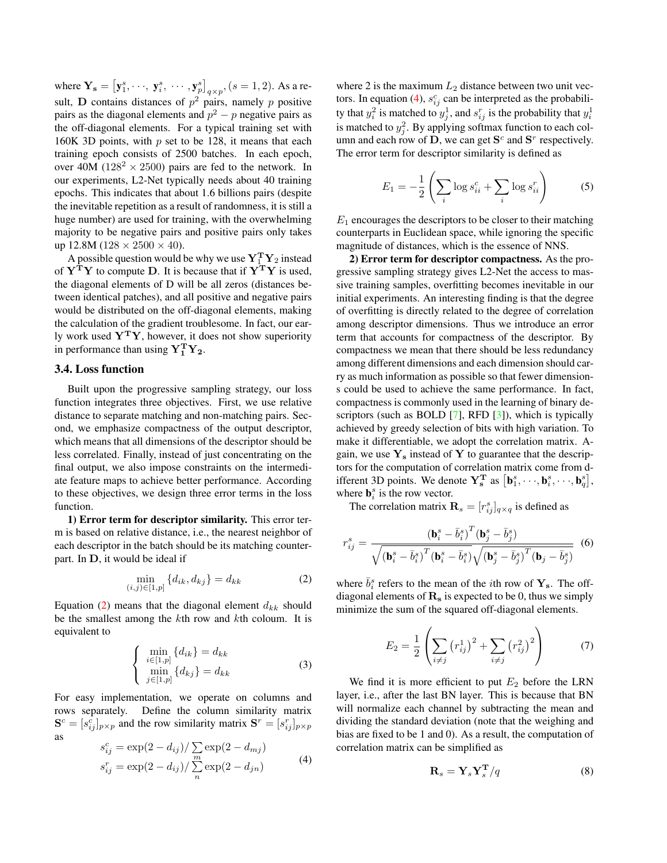where  $Y_s = [y_1^s, \dots, y_i^s, \dots, y_p^s]_{q \times p}, (s = 1, 2)$ . As a result, **D** contains distances of  $p^2$  pairs, namely *p* positive pairs as the diagonal elements and *p* <sup>2</sup> *− p* negative pairs as the off-diagonal elements. For a typical training set with 160K 3D points, with *p* set to be 128, it means that each training epoch consists of 2500 batches. In each epoch, over 40M ( $128^2 \times 2500$ ) pairs are fed to the network. In our experiments, L2-Net typically needs about 40 training epochs. This indicates that about 1.6 billions pairs (despite the inevitable repetition as a result of randomness, it is still a huge number) are used for training, with the overwhelming majority to be negative pairs and positive pairs only takes up 12.8M (128 *×* 2500 *×* 40).

A possible question would be why we use  $Y_1^T Y_2$  instead of **Y<sup>T</sup>Y** to compute **D**. It is because that if **Y<sup>T</sup>Y** is used, the diagonal elements of D will be all zeros (distances between identical patches), and all positive and negative pairs would be distributed on the off-diagonal elements, making the calculation of the gradient troublesome. In fact, our early work used **Y<sup>T</sup>Y**, however, it does not show superiority in performance than using  $Y_1^T Y_2$ .

#### 3.4. Loss function

Built upon the progressive sampling strategy, our loss function integrates three objectives. First, we use relative distance to separate matching and non-matching pairs. Second, we emphasize compactness of the output descriptor, which means that all dimensions of the descriptor should be less correlated. Finally, instead of just concentrating on the final output, we also impose constraints on the intermediate feature maps to achieve better performance. According to these objectives, we design three error terms in the loss function.

1) Error term for descriptor similarity. This error term is based on relative distance, i.e., the nearest neighbor of each descriptor in the batch should be its matching counterpart. In **D**, it would be ideal if

$$
\min_{(i,j)\in[1,p]} \{d_{ik}, d_{kj}\} = d_{kk} \tag{2}
$$

Equation  $(2)$  means that the diagonal element  $d_{kk}$  should be the smallest among the *k*th row and *k*th coloum. It is equivalent to

$$
\begin{cases}\n\min_{i \in [1,p]} \{d_{ik}\} = d_{kk} \\
\min_{j \in [1,p]} \{d_{kj}\} = d_{kk}\n\end{cases}
$$
\n(3)

For easy implementation, we operate on columns and rows separately. Define the column similarity matrix  $\mathbf{S}^c = [s_{ij}^c]_{p \times p}$  and the row similarity matrix  $\mathbf{S}^r = [s_{ij}^r]_{p \times p}$ as

$$
s_{ij}^c = \exp(2 - d_{ij}) / \sum_{m} \exp(2 - d_{mj})
$$
  
\n
$$
s_{ij}^r = \exp(2 - d_{ij}) / \sum_{n} \exp(2 - d_{jn})
$$
 (4)

where 2 is the maximum  $L_2$  distance between two unit vectors. In equation (4),  $s_{ij}^c$  can be interpreted as the probability that  $y_i^2$  is matched to  $y_j^1$ , and  $s_{ij}^r$  is the probability that  $y_i^1$ is matched to  $y_j^2$ . By applying softmax function to each column and each row of **D**, we can get  $S^c$  and  $S^r$  respectively. The error term for descriptor similarity is defined as

$$
E_1 = -\frac{1}{2} \left( \sum_i \log s_{ii}^c + \sum_i \log s_{ii}^r \right) \tag{5}
$$

 $E_1$  encourages the descriptors to be closer to their matching counterparts in Euclidean space, while ignoring the specific magnitude of distances, which is the essence of NNS.

2) Error term for descriptor compactness. As the progressive sampling strategy gives L2-Net the access to massive training samples, overfitting becomes inevitable in our initial experiments. An interesting finding is that the degree of overfitting is directly related to the degree of correlation among descriptor dimensions. Thus we introduce an error term that accounts for compactness of the descriptor. By compactness we mean that there should be less redundancy among different dimensions and each dimension should carry as much information as possible so that fewer dimensions could be used to achieve the same performance. In fact, compactness is commonly used in the learning of binary descriptors (such as BOLD [7], RFD [3]), which is typically achieved by greedy selection of bits with high variation. To make it differentiable, we adopt the correlation matrix. Again, we use  $Y_s$  instead of Y to guarantee that the descriptors for the computation of correlation matrix come from different 3D points. We denote  $\mathbf{Y}_{s}^{\mathbf{T}}$  as  $[\mathbf{b}_{1}^{s}, \cdots, \mathbf{b}_{i}^{s}, \cdots, \mathbf{b}_{q}^{s}],$ where  $\mathbf{b}_i^s$  is the row vector.

The correlation matrix  $\mathbf{R}_s = [r_{ij}^s]_{q \times q}$  is defined as

$$
r_{ij}^s = \frac{\left(\mathbf{b}_i^s - \bar{b}_i^s\right)^T \left(\mathbf{b}_j^s - \bar{b}_j^s\right)}{\sqrt{\left(\mathbf{b}_i^s - \bar{b}_i^s\right)^T \left(\mathbf{b}_i^s - \bar{b}_i^s\right)} \sqrt{\left(\mathbf{b}_j^s - \bar{b}_j^s\right)^T \left(\mathbf{b}_j - \bar{b}_j^s\right)}}
$$
(6)

where  $\bar{b}_i^s$  refers to the mean of the *i*th row of  $\mathbf{Y}_s$ . The offdiagonal elements of **R<sup>s</sup>** is expected to be 0, thus we simply minimize the sum of the squared off-diagonal elements.

$$
E_2 = \frac{1}{2} \left( \sum_{i \neq j} (r_{ij}^1)^2 + \sum_{i \neq j} (r_{ij}^2)^2 \right) \tag{7}
$$

We find it is more efficient to put  $E_2$  before the LRN layer, i.e., after the last BN layer. This is because that BN will normalize each channel by subtracting the mean and dividing the standard deviation (note that the weighing and bias are fixed to be 1 and 0). As a result, the computation of correlation matrix can be simplified as

$$
\mathbf{R}_s = \mathbf{Y}_s \mathbf{Y}_s^{\mathbf{T}} / q \tag{8}
$$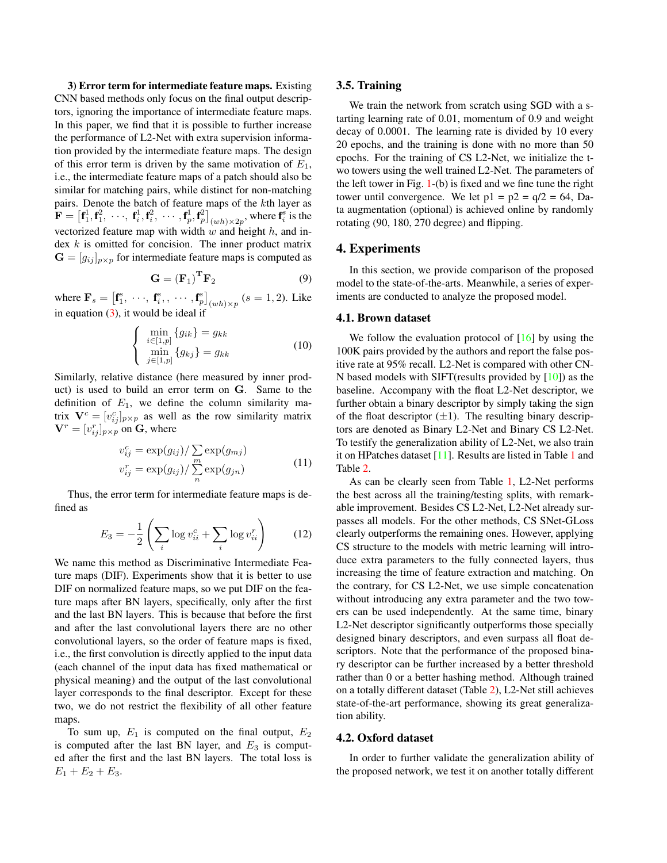3) Error term for intermediate feature maps. Existing CNN based methods only focus on the final output descriptors, ignoring the importance of intermediate feature maps. In this paper, we find that it is possible to further increase the performance of L2-Net with extra supervision information provided by the intermediate feature maps. The design of this error term is driven by the same motivation of *E*1, i.e., the intermediate feature maps of a patch should also be similar for matching pairs, while distinct for non-matching pairs. Denote the batch of feature maps of the *k*th layer as  $\mathbf{F} = \begin{bmatrix} \mathbf{f}_1^1, \mathbf{f}_1^2, \cdots, \mathbf{f}_i^1, \mathbf{f}_i^2, \cdots, \mathbf{f}_p^1, \mathbf{f}_p^2 \end{bmatrix}_{(wh)\times 2p}$ , where  $\mathbf{f}_i^s$  is the vectorized feature map with width *w* and height *h*, and index *k* is omitted for concision. The inner product matrix  $G = [g_{ij}]_{p \times p}$  for intermediate feature maps is computed as

$$
\mathbf{G} = (\mathbf{F}_1)^{\mathrm{T}} \mathbf{F}_2 \tag{9}
$$

where  $\mathbf{F}_s = [\mathbf{f}_1^s, \dots, \mathbf{f}_i^s, \dots, \mathbf{f}_p^s]_{(wh)\times p}$  (*s* = 1, 2). Like in equation (3), it would be ideal if

$$
\begin{cases}\n\min_{i \in [1,p]} \{g_{ik}\} = g_{kk} \\
\min_{j \in [1,p]} \{g_{kj}\} = g_{kk}\n\end{cases}
$$
\n(10)

Similarly, relative distance (here measured by inner product) is used to build an error term on **G**. Same to the definition of  $E_1$ , we define the column similarity matrix  $V^c = [v_{ij}^c]_{p \times p}$  as well as the row similarity matrix  $\mathbf{V}^r = [v_{ij}^r]_{p \times p}$  on **G**, where

$$
v_{ij}^c = \exp(g_{ij}) / \sum_{m} \exp(g_{mj})
$$
  

$$
v_{ij}^r = \exp(g_{ij}) / \sum_{n} \exp(g_{jn})
$$
 (11)

Thus, the error term for intermediate feature maps is defined as

$$
E_3 = -\frac{1}{2} \left( \sum_i \log v_{ii}^c + \sum_i \log v_{ii}^r \right) \tag{12}
$$

We name this method as Discriminative Intermediate Feature maps (DIF). Experiments show that it is better to use DIF on normalized feature maps, so we put DIF on the feature maps after BN layers, specifically, only after the first and the last BN layers. This is because that before the first and after the last convolutional layers there are no other convolutional layers, so the order of feature maps is fixed, i.e., the first convolution is directly applied to the input data (each channel of the input data has fixed mathematical or physical meaning) and the output of the last convolutional layer corresponds to the final descriptor. Except for these two, we do not restrict the flexibility of all other feature maps.

To sum up,  $E_1$  is computed on the final output,  $E_2$ is computed after the last BN layer, and  $E_3$  is computed after the first and the last BN layers. The total loss is  $E_1 + E_2 + E_3.$ 

#### 3.5. Training

We train the network from scratch using SGD with a starting learning rate of 0.01, momentum of 0.9 and weight decay of 0.0001. The learning rate is divided by 10 every 20 epochs, and the training is done with no more than 50 epochs. For the training of CS L2-Net, we initialize the two towers using the well trained L2-Net. The parameters of the left tower in Fig. 1-(b) is fixed and we fine tune the right tower until convergence. We let  $p1 = p2 = q/2 = 64$ , Data augmentation (optional) is achieved online by randomly rotating (90, 180, 270 degree) and flipping.

### 4. Experiments

In this section, we provide comparison of the proposed model to the state-of-the-arts. Meanwhile, a series of experiments are conducted to analyze the proposed model.

#### 4.1. Brown dataset

We follow the evaluation protocol of  $[16]$  by using the 100K pairs provided by the authors and report the false positive rate at 95% recall. L2-Net is compared with other CN-N based models with SIFT(results provided by [10]) as the baseline. Accompany with the float L2-Net descriptor, we further obtain a binary descriptor by simply taking the sign of the float descriptor  $(\pm 1)$ . The resulting binary descriptors are denoted as Binary L2-Net and Binary CS L2-Net. To testify the generalization ability of L2-Net, we also train it on HPatches dataset [11]. Results are listed in Table 1 and Table 2.

As can be clearly seen from Table 1, L2-Net performs the best across all the training/testing splits, with remarkable improvement. Besides CS L2-Net, L2-Net already surpasses all models. For the other methods, CS SNet-GLoss clearly outperforms the remaining ones. However, applying CS structure to the models with metric learning will introduce extra parameters to the fully connected layers, thus increasing the time of feature extraction and matching. On the contrary, for CS L2-Net, we use simple concatenation without introducing any extra parameter and the two towers can be used independently. At the same time, binary L2-Net descriptor significantly outperforms those specially designed binary descriptors, and even surpass all float descriptors. Note that the performance of the proposed binary descriptor can be further increased by a better threshold rather than 0 or a better hashing method. Although trained on a totally different dataset (Table 2), L2-Net still achieves state-of-the-art performance, showing its great generalization ability.

#### 4.2. Oxford dataset

In order to further validate the generalization ability of the proposed network, we test it on another totally different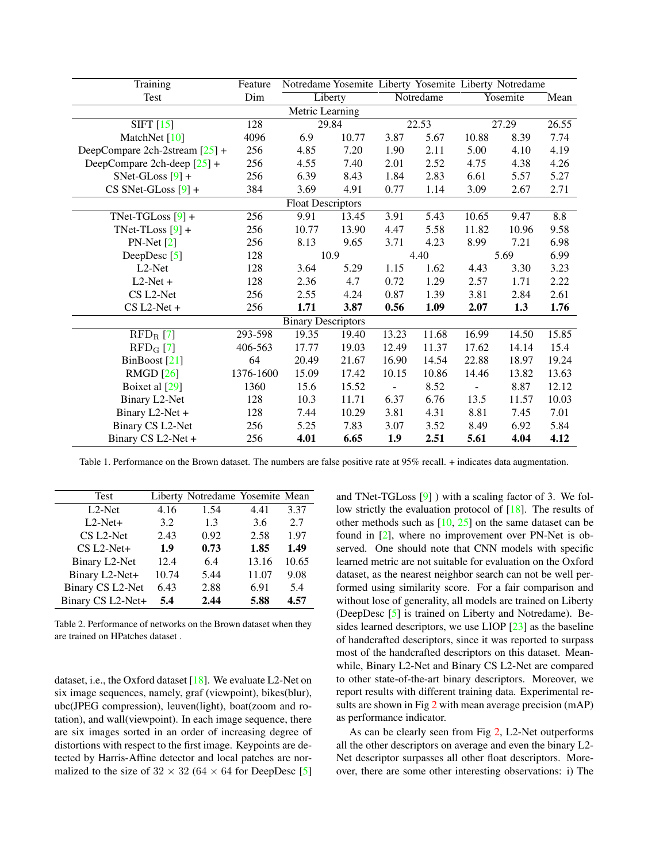| Training                               | Feature          |       | Notredame Yosemite Liberty Yosemite Liberty Notredame |       |                   |       |          |       |  |  |
|----------------------------------------|------------------|-------|-------------------------------------------------------|-------|-------------------|-------|----------|-------|--|--|
| Test                                   | Dim              |       | Liberty                                               |       | Notredame         |       | Yosemite | Mean  |  |  |
| Metric Learning                        |                  |       |                                                       |       |                   |       |          |       |  |  |
| $SIFT$ [15]                            | $\overline{128}$ |       | 29.84                                                 |       | 22.53             |       | 27.29    | 26.55 |  |  |
| MatchNet [10]                          | 4096             | 6.9   | 10.77                                                 | 3.87  | 5.67              | 10.88 | 8.39     | 7.74  |  |  |
| DeepCompare 2ch-2stream $[25]$ +       | 256              | 4.85  | 7.20                                                  | 1.90  | 2.11              | 5.00  | 4.10     | 4.19  |  |  |
| DeepCompare 2ch-deep $[25]$ +          | 256              | 4.55  | 7.40                                                  | 2.01  | 2.52              | 4.75  | 4.38     | 4.26  |  |  |
| $SNet-GLoss [9] +$                     | 256              | 6.39  | 8.43                                                  | 1.84  | 2.83              | 6.61  | 5.57     | 5.27  |  |  |
| $CS$ SNet-GLoss $[9]$ +                | 384              | 3.69  | 4.91                                                  | 0.77  | 1.14              | 3.09  | 2.67     | 2.71  |  |  |
| <b>Float Descriptors</b>               |                  |       |                                                       |       |                   |       |          |       |  |  |
| TNet-TGLoss $[9]$ +                    | $\overline{256}$ | 9.91  | 13.45                                                 | 3.91  | $\overline{5.43}$ | 10.65 | 9.47     | 8.8   |  |  |
| TNet-TLoss $[9]$ +                     | 256              | 10.77 | 13.90                                                 | 4.47  | 5.58              | 11.82 | 10.96    | 9.58  |  |  |
| $PN-Net[2]$                            | 256              | 8.13  | 9.65                                                  | 3.71  | 4.23              | 8.99  | 7.21     | 6.98  |  |  |
| DeepDesc $[5]$                         | 128              |       | 10.9                                                  |       | 4.40              |       | 5.69     | 6.99  |  |  |
| L <sub>2</sub> -Net                    | 128              | 3.64  | 5.29                                                  | 1.15  | 1.62              | 4.43  | 3.30     | 3.23  |  |  |
| $L2-Net +$                             | 128              | 2.36  | 4.7                                                   | 0.72  | 1.29              | 2.57  | 1.71     | 2.22  |  |  |
| CS L2-Net                              | 256              | 2.55  | 4.24                                                  | 0.87  | 1.39              | 3.81  | 2.84     | 2.61  |  |  |
| $CS L2-Net +$                          | 256              | 1.71  | 3.87                                                  | 0.56  | 1.09              | 2.07  | 1.3      | 1.76  |  |  |
| <b>Binary Descriptors</b>              |                  |       |                                                       |       |                   |       |          |       |  |  |
| $\overline{\text{RFD}_{\text{R}}}$ [7] | 293-598          | 19.35 | 19.40                                                 | 13.23 | 11.68             | 16.99 | 14.50    | 15.85 |  |  |
| $\mathrm{RFD_{G}}$ [7]                 | 406-563          | 17.77 | 19.03                                                 | 12.49 | 11.37             | 17.62 | 14.14    | 15.4  |  |  |
| BinBoost [21]                          | 64               | 20.49 | 21.67                                                 | 16.90 | 14.54             | 22.88 | 18.97    | 19.24 |  |  |
| <b>RMGD</b> [26]                       | 1376-1600        | 15.09 | 17.42                                                 | 10.15 | 10.86             | 14.46 | 13.82    | 13.63 |  |  |
| Boixet al [29]                         | 1360             | 15.6  | 15.52                                                 |       | 8.52              |       | 8.87     | 12.12 |  |  |
| Binary L2-Net                          | 128              | 10.3  | 11.71                                                 | 6.37  | 6.76              | 13.5  | 11.57    | 10.03 |  |  |
| Binary L2-Net +                        | 128              | 7.44  | 10.29                                                 | 3.81  | 4.31              | 8.81  | 7.45     | 7.01  |  |  |
| Binary CS L2-Net                       | 256              | 5.25  | 7.83                                                  | 3.07  | 3.52              | 8.49  | 6.92     | 5.84  |  |  |
| Binary CS L2-Net +                     | 256              | 4.01  | 6.65                                                  | 1.9   | 2.51              | 5.61  | 4.04     | 4.12  |  |  |

Table 1. Performance on the Brown dataset. The numbers are false positive rate at 95% recall. + indicates data augmentation.

| <b>Test</b>       |       | Liberty Notredame Yosemite Mean |       |       |
|-------------------|-------|---------------------------------|-------|-------|
| $L2$ -Net         | 4.16  | 1.54                            | 4.41  | 3.37  |
| $L2-Net+$         | 3.2   | 1.3                             | 3.6   | 2.7   |
| CS L2-Net         | 2.43  | 0.92                            | 2.58  | 1.97  |
| CS L2-Net+        | 1.9   | 0.73                            | 1.85  | 1.49  |
| Binary L2-Net     | 12.4  | 6.4                             | 13.16 | 10.65 |
| Binary L2-Net+    | 10.74 | 5.44                            | 11.07 | 9.08  |
| Binary CS L2-Net  | 6.43  | 2.88                            | 6.91  | 5.4   |
| Binary CS L2-Net+ | 5.4   | 2.44                            | 5.88  | 4.57  |

Table 2. Performance of networks on the Brown dataset when they are trained on HPatches dataset .

dataset, i.e., the Oxford dataset [18]. We evaluate L2-Net on six image sequences, namely, graf (viewpoint), bikes(blur), ubc(JPEG compression), leuven(light), boat(zoom and rotation), and wall(viewpoint). In each image sequence, there are six images sorted in an order of increasing degree of distortions with respect to the first image. Keypoints are detected by Harris-Affine detector and local patches are normalized to the size of  $32 \times 32$  ( $64 \times 64$  for DeepDesc [5] and TNet-TGLoss [9] ) with a scaling factor of 3. We follow strictly the evaluation protocol of [18]. The results of other methods such as [10, 25] on the same dataset can be found in [2], where no improvement over PN-Net is observed. One should note that CNN models with specific learned metric are not suitable for evaluation on the Oxford dataset, as the nearest neighbor search can not be well performed using similarity score. For a fair comparison and without lose of generality, all models are trained on Liberty (DeepDesc [5] is trained on Liberty and Notredame). Besides learned descriptors, we use LIOP [23] as the baseline of handcrafted descriptors, since it was reported to surpass most of the handcrafted descriptors on this dataset. Meanwhile, Binary L2-Net and Binary CS L2-Net are compared to other state-of-the-art binary descriptors. Moreover, we report results with different training data. Experimental results are shown in Fig  $2$  with mean average precision (mAP) as performance indicator.

As can be clearly seen from Fig 2, L2-Net outperforms all the other descriptors on average and even the binary L2- Net descriptor surpasses all other float descriptors. Moreover, there are some other interesting observations: i) The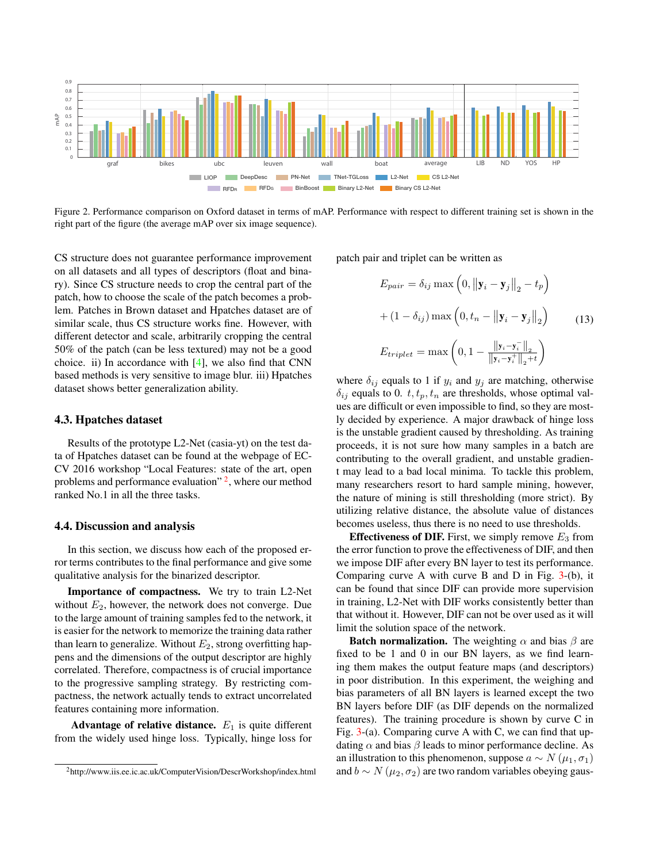

Figure 2. Performance comparison on Oxford dataset in terms of mAP. Performance with respect to different training set is shown in the right part of the figure (the average mAP over six image sequence).

CS structure does not guarantee performance improvement on all datasets and all types of descriptors (float and binary). Since CS structure needs to crop the central part of the patch, how to choose the scale of the patch becomes a problem. Patches in Brown dataset and Hpatches dataset are of similar scale, thus CS structure works fine. However, with different detector and scale, arbitrarily cropping the central 50% of the patch (can be less textured) may not be a good choice. ii) In accordance with [4], we also find that CNN based methods is very sensitive to image blur. iii) Hpatches dataset shows better generalization ability.

#### 4.3. Hpatches dataset

Results of the prototype L2-Net (casia-yt) on the test data of Hpatches dataset can be found at the webpage of EC-CV 2016 workshop "Local Features: state of the art, open problems and performance evaluation" <sup>2</sup>, where our method ranked No.1 in all the three tasks.

### 4.4. Discussion and analysis

In this section, we discuss how each of the proposed error terms contributes to the final performance and give some qualitative analysis for the binarized descriptor.

Importance of compactness. We try to train L2-Net without  $E_2$ , however, the network does not converge. Due to the large amount of training samples fed to the network, it is easier for the network to memorize the training data rather than learn to generalize. Without  $E_2$ , strong overfitting happens and the dimensions of the output descriptor are highly correlated. Therefore, compactness is of crucial importance to the progressive sampling strategy. By restricting compactness, the network actually tends to extract uncorrelated features containing more information.

Advantage of relative distance.  $E_1$  is quite different from the widely used hinge loss. Typically, hinge loss for

patch pair and triplet can be written as

$$
E_{pair} = \delta_{ij} \max\left(0, \left\|\mathbf{y}_i - \mathbf{y}_j\right\|_2 - t_p\right)
$$

$$
+ (1 - \delta_{ij}) \max\left(0, t_n - \left\|\mathbf{y}_i - \mathbf{y}_j\right\|_2\right) \tag{13}
$$

$$
E_{triplet} = \max\left(0, 1 - \frac{\left\|\mathbf{y}_i - \mathbf{y}_i^-\right\|_2}{\left\|\mathbf{y}_i - \mathbf{y}_i^+\right\|_2 + t}\right)
$$

where  $\delta_{ij}$  equals to 1 if  $y_i$  and  $y_j$  are matching, otherwise  $\delta_{ij}$  equals to 0.  $t, t_p, t_n$  are thresholds, whose optimal values are difficult or even impossible to find, so they are mostly decided by experience. A major drawback of hinge loss is the unstable gradient caused by thresholding. As training proceeds, it is not sure how many samples in a batch are contributing to the overall gradient, and unstable gradient may lead to a bad local minima. To tackle this problem, many researchers resort to hard sample mining, however, the nature of mining is still thresholding (more strict). By utilizing relative distance, the absolute value of distances becomes useless, thus there is no need to use thresholds.

**Effectiveness of DIF.** First, we simply remove  $E_3$  from the error function to prove the effectiveness of DIF, and then we impose DIF after every BN layer to test its performance. Comparing curve A with curve B and D in Fig.  $3-(b)$ , it can be found that since DIF can provide more supervision in training, L2-Net with DIF works consistently better than that without it. However, DIF can not be over used as it will limit the solution space of the network.

**Batch normalization.** The weighting  $\alpha$  and bias  $\beta$  are fixed to be 1 and 0 in our BN layers, as we find learning them makes the output feature maps (and descriptors) in poor distribution. In this experiment, the weighing and bias parameters of all BN layers is learned except the two BN layers before DIF (as DIF depends on the normalized features). The training procedure is shown by curve C in Fig.  $3-(a)$ . Comparing curve A with C, we can find that updating  $\alpha$  and bias  $\beta$  leads to minor performance decline. As an illustration to this phenomenon, suppose  $a \sim N(\mu_1, \sigma_1)$ and *b*  $\sim N(\mu_2, \sigma_2)$  are two random variables obeying gaus-

<sup>2</sup>http://www.iis.ee.ic.ac.uk/ComputerVision/DescrWorkshop/index.html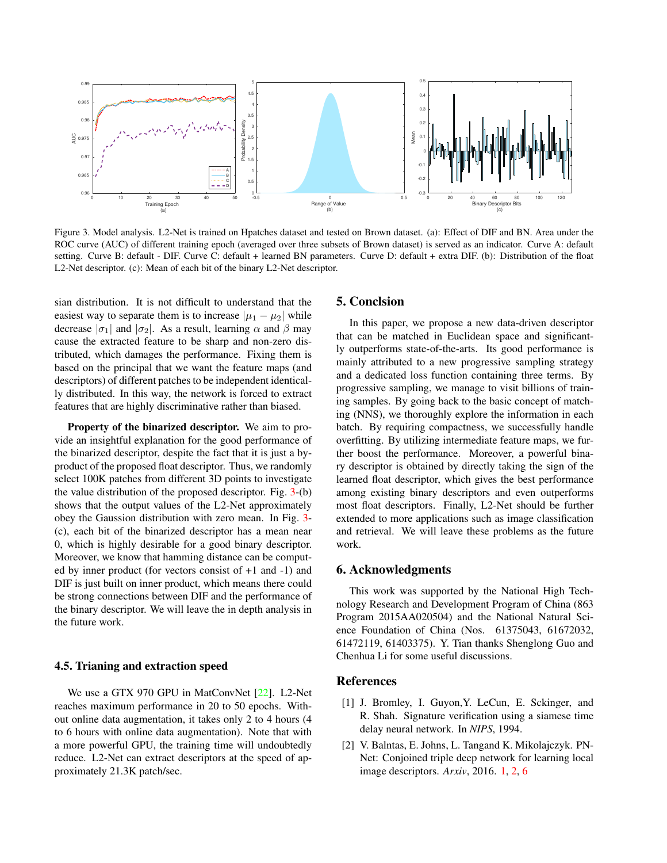

Figure 3. Model analysis. L2-Net is trained on Hpatches dataset and tested on Brown dataset. (a): Effect of DIF and BN. Area under the ROC curve (AUC) of different training epoch (averaged over three subsets of Brown dataset) is served as an indicator. Curve A: default setting. Curve B: default - DIF. Curve C: default + learned BN parameters. Curve D: default + extra DIF. (b): Distribution of the float L2-Net descriptor. (c): Mean of each bit of the binary L2-Net descriptor.

sian distribution. It is not difficult to understand that the easiest way to separate them is to increase  $|\mu_1 - \mu_2|$  while decrease  $|\sigma_1|$  and  $|\sigma_2|$ . As a result, learning  $\alpha$  and  $\beta$  may cause the extracted feature to be sharp and non-zero distributed, which damages the performance. Fixing them is based on the principal that we want the feature maps (and descriptors) of different patches to be independent identically distributed. In this way, the network is forced to extract features that are highly discriminative rather than biased.

Property of the binarized descriptor. We aim to provide an insightful explanation for the good performance of the binarized descriptor, despite the fact that it is just a byproduct of the proposed float descriptor. Thus, we randomly select 100K patches from different 3D points to investigate the value distribution of the proposed descriptor. Fig. 3-(b) shows that the output values of the L2-Net approximately obey the Gaussion distribution with zero mean. In Fig. 3- (c), each bit of the binarized descriptor has a mean near 0, which is highly desirable for a good binary descriptor. Moreover, we know that hamming distance can be computed by inner product (for vectors consist of +1 and -1) and DIF is just built on inner product, which means there could be strong connections between DIF and the performance of the binary descriptor. We will leave the in depth analysis in the future work.

### 4.5. Trianing and extraction speed

We use a GTX 970 GPU in MatConvNet [22]. L2-Net reaches maximum performance in 20 to 50 epochs. Without online data augmentation, it takes only 2 to 4 hours (4 to 6 hours with online data augmentation). Note that with a more powerful GPU, the training time will undoubtedly reduce. L2-Net can extract descriptors at the speed of approximately 21.3K patch/sec.

#### 5. Conclsion

In this paper, we propose a new data-driven descriptor that can be matched in Euclidean space and significantly outperforms state-of-the-arts. Its good performance is mainly attributed to a new progressive sampling strategy and a dedicated loss function containing three terms. By progressive sampling, we manage to visit billions of training samples. By going back to the basic concept of matching (NNS), we thoroughly explore the information in each batch. By requiring compactness, we successfully handle overfitting. By utilizing intermediate feature maps, we further boost the performance. Moreover, a powerful binary descriptor is obtained by directly taking the sign of the learned float descriptor, which gives the best performance among existing binary descriptors and even outperforms most float descriptors. Finally, L2-Net should be further extended to more applications such as image classification and retrieval. We will leave these problems as the future work.

### 6. Acknowledgments

This work was supported by the National High Technology Research and Development Program of China (863 Program 2015AA020504) and the National Natural Science Foundation of China (Nos. 61375043, 61672032, 61472119, 61403375). Y. Tian thanks Shenglong Guo and Chenhua Li for some useful discussions.

### References

- [1] J. Bromley, I. Guyon,Y. LeCun, E. Sckinger, and R. Shah. Signature verification using a siamese time delay neural network. In *NIPS*, 1994.
- [2] V. Balntas, E. Johns, L. Tangand K. Mikolajczyk. PN-Net: Conjoined triple deep network for learning local image descriptors. *Arxiv*, 2016. 1, 2, 6